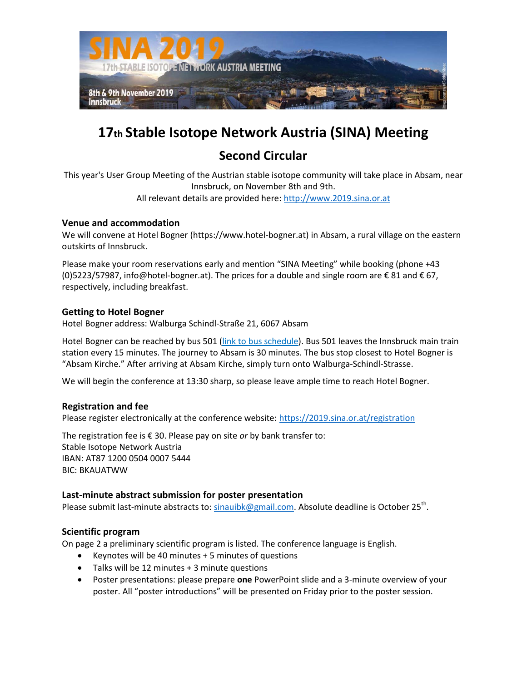

# **17th Stable Isotope Network Austria (SINA) Meeting**

# **Second Circular**

This year's User Group Meeting of the Austrian stable isotope community will take place in Absam, near Innsbruck, on November 8th and 9th. All relevant details are provided here: [http://www.2019.sina.or.at](http://www.2019.sina.or.at/)

# **Venue and accommodation**

We will convene at Hotel Bogner (https://www.hotel-bogner.at) in Absam, a rural village on the eastern outskirts of Innsbruck.

Please make your room reservations early and mention "SINA Meeting" while booking (phone +43 (0)5223/57987, info@hotel-bogner.at). The prices for a double and single room are  $\epsilon$  81 and  $\epsilon$  67, respectively, including breakfast.

## **Getting to Hotel Bogner**

Hotel Bogner address: Walburga Schindl-Straße 21, 6067 Absam

Hotel Bogner can be reached by bus 501 [\(link to bus schedule\)](https://www.rum-innsbruck.at/fileadmin/fahrplan/Bus%20501%20Ibk%20Hbf-Hall%20Kurhaus.pdf). Bus 501 leaves the Innsbruck main train station every 15 minutes. The journey to Absam is 30 minutes. The bus stop closest to Hotel Bogner is "Absam Kirche." After arriving at Absam Kirche, simply turn onto Walburga-Schindl-Strasse.

We will begin the conference at 13:30 sharp, so please leave ample time to reach Hotel Bogner.

## **Registration and fee**

Please register electronically at the conference website:<https://2019.sina.or.at/registration>

The registration fee is € 30. Please pay on site *or* by bank transfer to: Stable Isotope Network Austria IBAN: AT87 1200 0504 0007 5444 BIC: BKAUATWW

## **Last-minute abstract submission for poster presentation**

Please submit last-minute abstracts to: [sinauibk@gmail.com.](mailto:sinauibk@gmail.com) Absolute deadline is October 25<sup>th</sup>.

## **Scientific program**

On page 2 a preliminary scientific program is listed. The conference language is English.

- Exercise Nill be 40 minutes  $+5$  minutes of questions
- Talks will be 12 minutes + 3 minute questions
- Poster presentations: please prepare **one** PowerPoint slide and a 3-minute overview of your poster. All "poster introductions" will be presented on Friday prior to the poster session.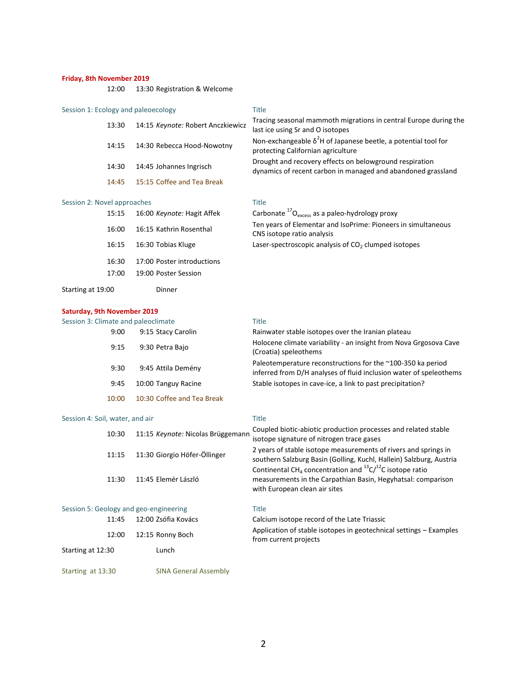### **Friday, 8th November 2019**

12:00 13:30 Registration & Welcome

### Session 1: Ecology and paleoecology Title

| 13:30 | 14:15 Keynote: Robert Anczkiewicz | Tracing seasonal mammoth migrations in central Europe during the<br>last ice using Sr and O isotopes                    |
|-------|-----------------------------------|-------------------------------------------------------------------------------------------------------------------------|
| 14:15 | 14:30 Rebecca Hood-Nowotny        | Non-exchangeable $\delta^2$ H of Japanese beetle, a potential tool for<br>protecting Californian agriculture            |
| 14:30 | 14:45 Johannes Ingrisch           | Drought and recovery effects on belowground respiration<br>dynamics of recent carbon in managed and abandoned grassland |
| 14:45 | 15:15 Coffee and Tea Break        |                                                                                                                         |

# Session 2: Novel approaches Title<br>15:15 16:00 Kaupata: Useit Affek Carb

| 15:15             | 16:00 <i>Keynote:</i> Hagit Affek |
|-------------------|-----------------------------------|
| 16:00             | 16:15 Kathrin Rosenthal           |
| 16:15             | 16:30 Tobias Kluge                |
| 16:30             | 17:00 Poster introductions        |
| 17:00             | 19:00 Poster Session              |
| Starting at 19:00 | Dinner                            |

15:15 16:00 *Keynote:* Hagit Affek Carbonate <sup>17</sup>O<sub>excess</sub> as a paleo-hydrology proxy Ten years of Elementar and IsoPrime: Pioneers in simultaneous CNS isotope ratio analysis Laser-spectroscopic analysis of  $CO<sub>2</sub>$  clumped isotopes

### **Saturday, 9th November 2019**

| Session 3: Climate and paleoclimate |                            | Title                                                                                                                             |
|-------------------------------------|----------------------------|-----------------------------------------------------------------------------------------------------------------------------------|
| 9:00                                | 9:15 Stacy Carolin         | Rainwater stable isotopes over the Iranian plateau                                                                                |
| 9:15                                | 9:30 Petra Bajo            | Holocene climate variability - an insight from Nova Grgosova Cave<br>(Croatia) speleothems                                        |
| 9:30                                | 9:45 Attila Demény         | Paleotemperature reconstructions for the ~100-350 ka period<br>inferred from D/H analyses of fluid inclusion water of speleothems |
| 9:45                                | 10:00 Tanguy Racine        | Stable isotopes in cave-ice, a link to past precipitation?                                                                        |
| 10:00                               | 10:30 Coffee and Tea Break |                                                                                                                                   |

### Session 4: Soil, water, and air Title

| 10:30                                  | 11:15 Keynote: Nicolas Brüggemann | Coupled biotic-abiotic production processes and related stable<br>isotope signature of nitrogen trace gases                                                                      |
|----------------------------------------|-----------------------------------|----------------------------------------------------------------------------------------------------------------------------------------------------------------------------------|
| 11:15                                  | 11:30 Giorgio Höfer-Öllinger      | 2 years of stable isotope measurements of rivers and springs in<br>southern Salzburg Basin (Golling, Kuchl, Hallein) Salzburg, Austria                                           |
| 11:30                                  | 11:45 Elemér László               | Continental CH <sub>4</sub> concentration and ${}^{13}C/{}^{12}C$ isotope ratio<br>measurements in the Carpathian Basin, Hegyhatsal: comparison<br>with European clean air sites |
| Session 5: Geology and geo-engineering |                                   | Title                                                                                                                                                                            |
|                                        |                                   |                                                                                                                                                                                  |

| 11:45             | 12:00 Zsófia Kovács | Calcium isotope record of the Late Triassic                                                 |
|-------------------|---------------------|---------------------------------------------------------------------------------------------|
| 12:00             | 12:15 Ronny Boch    | Application of stable isotopes in geotechnical settings – Examples<br>from current projects |
| Starting at 12:30 | Lunch               |                                                                                             |

Starting at 13:30 SINA General Assembly